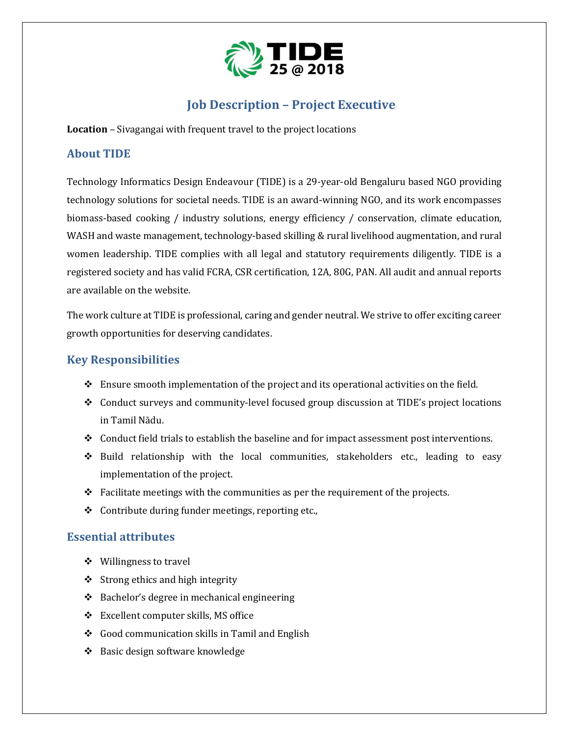

# **Job Description – Project Executive**

**Location** – Sivagangai with frequent travel to the project locations

#### **About TIDE**

Technology Informatics Design Endeavour (TIDE) is a 29-year-old Bengaluru based NGO providing technology solutions for societal needs. TIDE is an award-winning NGO, and its work encompasses biomass-based cooking / industry solutions, energy efficiency / conservation, climate education, WASH and waste management, technology-based skilling & rural livelihood augmentation, and rural women leadership. TIDE complies with all legal and statutory requirements diligently. TIDE is a registered society and has valid FCRA, CSR certification, 12A, 80G, PAN. All audit and annual reports are available on the website.

The work culture at TIDE is professional, caring and gender neutral. We strive to offer exciting career growth opportunities for deserving candidates.

### **Key Responsibilities**

- ❖ Ensure smooth implementation of the project and its operational activities on the field.
- ❖ Conduct surveys and community-level focused group discussion at TIDE's project locations in Tamil Nādu.
- ❖ Conduct field trials to establish the baseline and for impact assessment post interventions.
- ❖ Build relationship with the local communities, stakeholders etc., leading to easy implementation of the project.
- $\div$  Facilitate meetings with the communities as per the requirement of the projects.
- ❖ Contribute during funder meetings, reporting etc.,

### **Essential attributes**

- ❖ Willingness to travel
- $\triangle$  Strong ethics and high integrity
- ❖ Bachelor's degree in mechanical engineering
- ❖ Excellent computer skills, MS office
- ❖ Good communication skills in Tamil and English
- ❖ Basic design software knowledge